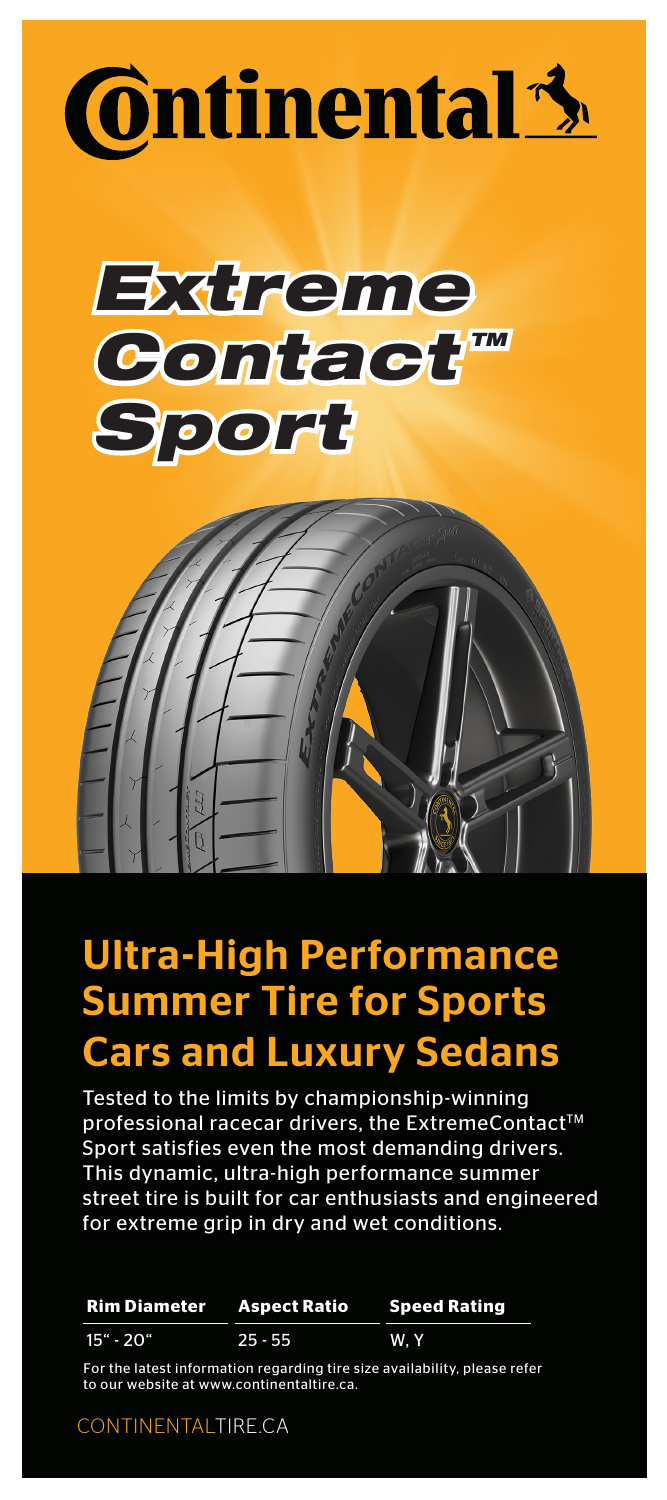





# Ultra-High Performance Summer Tire for Sports Cars and Luxury Sedans

Tested to the limits by championship-winning professional racecar drivers, the ExtremeContact™ Sport satisfies even the most demanding drivers. This dynamic, ultra-high performance summer street tire is built for car enthusiasts and engineered for extreme grip in dry and wet conditions.

**Rim Diameter** 15" - 20" **Aspect Ratio** 25 - 55 **Speed Rating** W, Y

For the latest information regarding tire size availability, please refer to our website at www.continentaltire.ca.

CONTINENTALTIRE.CA